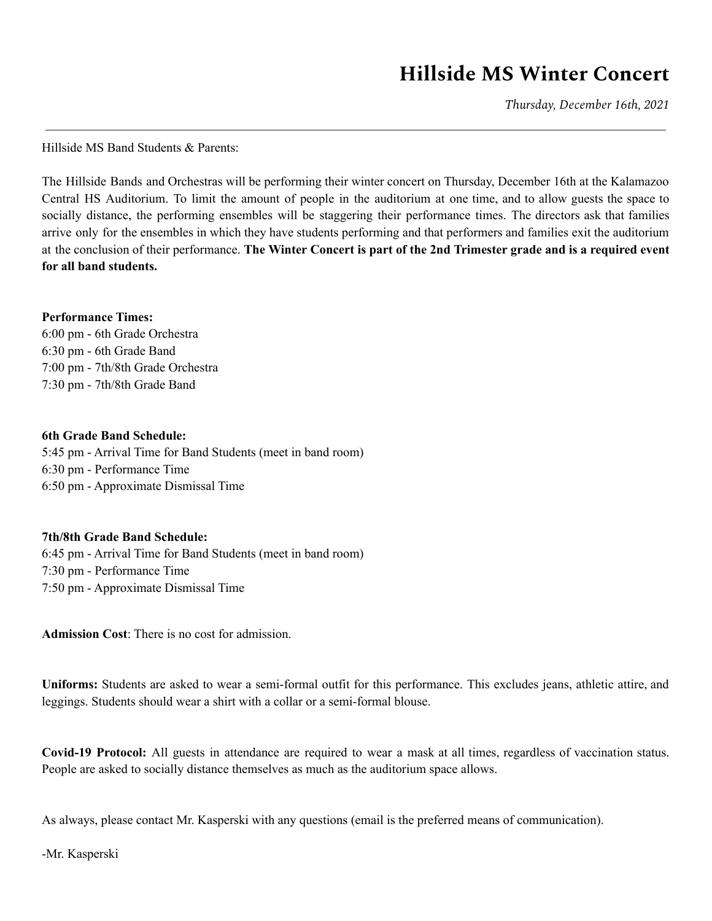## **Hillside MS Winter Concert**

*Thursday, December 16th, 2021*

Hillside MS Band Students & Parents:

The Hillside Bands and Orchestras will be performing their winter concert on Thursday, December 16th at the Kalamazoo Central HS Auditorium. To limit the amount of people in the auditorium at one time, and to allow guests the space to socially distance, the performing ensembles will be staggering their performance times. The directors ask that families arrive only for the ensembles in which they have students performing and that performers and families exit the auditorium at the conclusion of their performance. **The Winter Concert is part of the 2nd Trimester grade and is a required event for all band students.**

## **Performance Times:**

6:00 pm - 6th Grade Orchestra 6:30 pm - 6th Grade Band 7:00 pm - 7th/8th Grade Orchestra 7:30 pm - 7th/8th Grade Band

## **6th Grade Band Schedule:**

5:45 pm - Arrival Time for Band Students (meet in band room) 6:30 pm - Performance Time 6:50 pm - Approximate Dismissal Time

## **7th/8th Grade Band Schedule:**

6:45 pm - Arrival Time for Band Students (meet in band room) 7:30 pm - Performance Time 7:50 pm - Approximate Dismissal Time

**Admission Cost**: There is no cost for admission.

**Uniforms:** Students are asked to wear a semi-formal outfit for this performance. This excludes jeans, athletic attire, and leggings. Students should wear a shirt with a collar or a semi-formal blouse.

**Covid-19 Protocol:** All guests in attendance are required to wear a mask at all times, regardless of vaccination status. People are asked to socially distance themselves as much as the auditorium space allows.

As always, please contact Mr. Kasperski with any questions (email is the preferred means of communication).

-Mr. Kasperski